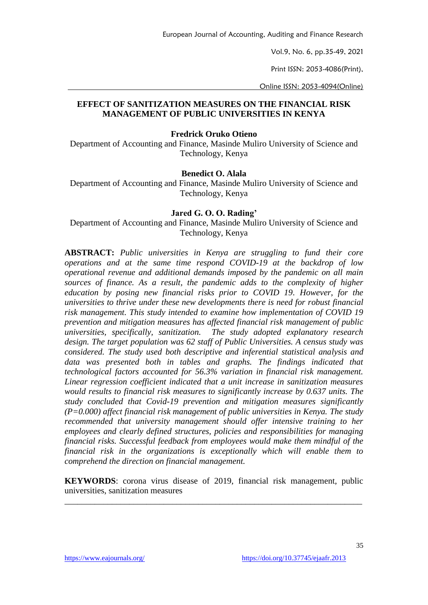Vol.9, No. 6, pp.35-49, 2021

Print ISSN: 2053-4086(Print),

Online ISSN: 2053-4094(Online)

### **EFFECT OF SANITIZATION MEASURES ON THE FINANCIAL RISK MANAGEMENT OF PUBLIC UNIVERSITIES IN KENYA**

### **Fredrick Oruko Otieno**

Department of Accounting and Finance, Masinde Muliro University of Science and Technology, Kenya

### **Benedict O. Alala**

Department of Accounting and Finance, Masinde Muliro University of Science and Technology, Kenya

### **Jared G. O. O. Rading'**

Department of Accounting and Finance, Masinde Muliro University of Science and Technology, Kenya

**ABSTRACT:** *Public universities in Kenya are struggling to fund their core operations and at the same time respond COVID-19 at the backdrop of low operational revenue and additional demands imposed by the pandemic on all main sources of finance. As a result, the pandemic adds to the complexity of higher education by posing new financial risks prior to COVID 19. However, for the universities to thrive under these new developments there is need for robust financial risk management. This study intended to examine how implementation of COVID 19 prevention and mitigation measures has affected financial risk management of public universities, specifically, sanitization. The study adopted explanatory research design. The target population was 62 staff of Public Universities. A census study was considered. The study used both descriptive and inferential statistical analysis and*  data was presented both in tables and graphs. The findings indicated that *technological factors accounted for 56.3% variation in financial risk management. Linear regression coefficient indicated that a unit increase in sanitization measures would results to financial risk measures to significantly increase by 0.637 units. The study concluded that Covid-19 prevention and mitigation measures significantly (P=0.000) affect financial risk management of public universities in Kenya. The study recommended that university management should offer intensive training to her employees and clearly defined structures, policies and responsibilities for managing financial risks. Successful feedback from employees would make them mindful of the financial risk in the organizations is exceptionally which will enable them to comprehend the direction on financial management.*

**KEYWORDS**: corona virus disease of 2019, financial risk management, public universities, sanitization measures

\_\_\_\_\_\_\_\_\_\_\_\_\_\_\_\_\_\_\_\_\_\_\_\_\_\_\_\_\_\_\_\_\_\_\_\_\_\_\_\_\_\_\_\_\_\_\_\_\_\_\_\_\_\_\_\_\_\_\_\_\_\_\_\_\_\_\_\_\_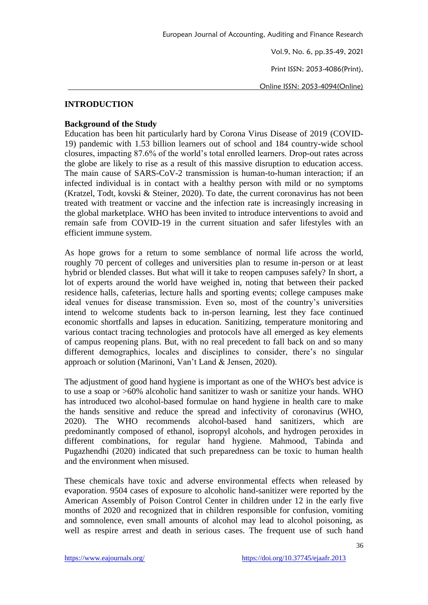Print ISSN: 2053-4086(Print),

Online ISSN: 2053-4094(Online)

## **INTRODUCTION**

## **Background of the Study**

Education has been hit particularly hard by Corona Virus Disease of 2019 (COVID-19) pandemic with 1.53 billion learners out of school and 184 country-wide school closures, impacting 87.6% of the world's total enrolled learners. Drop-out rates across the globe are likely to rise as a result of this massive disruption to education access. The main cause of SARS-CoV-2 transmission is human-to-human interaction; if an infected individual is in contact with a healthy person with mild or no symptoms (Kratzel, Todt, kovski & Steiner, 2020). To date, the current coronavirus has not been treated with treatment or vaccine and the infection rate is increasingly increasing in the global marketplace. WHO has been invited to introduce interventions to avoid and remain safe from COVID-19 in the current situation and safer lifestyles with an efficient immune system.

As hope grows for a return to some semblance of normal life across the world, roughly 70 percent of colleges and universities plan to resume in-person or at least hybrid or blended classes. But what will it take to reopen campuses safely? In short, a lot of experts around the world have weighed in, noting that between their packed residence halls, cafeterias, lecture halls and sporting events; college campuses make ideal venues for disease transmission. Even so, most of the country's universities intend to welcome students back to in-person learning, lest they face continued economic shortfalls and lapses in education. Sanitizing, temperature monitoring and various contact tracing technologies and protocols have all emerged as key elements of campus reopening plans. But, with no real precedent to fall back on and so many different demographics, locales and disciplines to consider, there's no singular approach or solution (Marinoni, Van't Land & Jensen, 2020).

The adjustment of good hand hygiene is important as one of the WHO's best advice is to use a soap or >60% alcoholic hand sanitizer to wash or sanitize your hands. WHO has introduced two alcohol-based formulae on hand hygiene in health care to make the hands sensitive and reduce the spread and infectivity of coronavirus (WHO, 2020). The WHO recommends alcohol-based hand sanitizers, which are predominantly composed of ethanol, isopropyl alcohols, and hydrogen peroxides in different combinations, for regular hand hygiene. Mahmood, Tabinda and Pugazhendhi (2020) indicated that such preparedness can be toxic to human health and the environment when misused.

These chemicals have toxic and adverse environmental effects when released by evaporation. 9504 cases of exposure to alcoholic hand-sanitizer were reported by the American Assembly of Poison Control Center in children under 12 in the early five months of 2020 and recognized that in children responsible for confusion, vomiting and somnolence, even small amounts of alcohol may lead to alcohol poisoning, as well as respire arrest and death in serious cases. The frequent use of such hand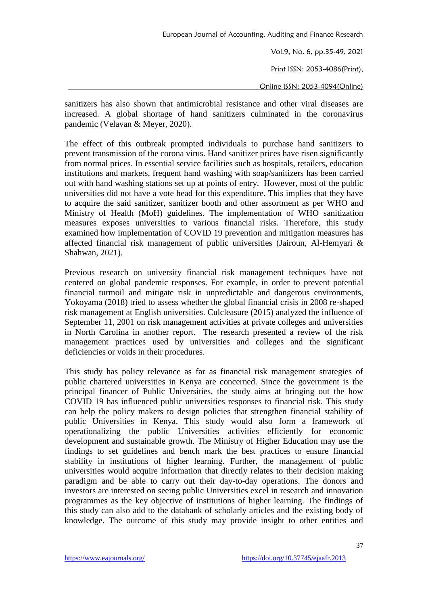Vol.9, No. 6, pp.35-49, 2021 Print ISSN: 2053-4086(Print), Online ISSN: 2053-4094(Online)

sanitizers has also shown that antimicrobial resistance and other viral diseases are increased. A global shortage of hand sanitizers culminated in the coronavirus pandemic (Velavan & Meyer, 2020).

The effect of this outbreak prompted individuals to purchase hand sanitizers to prevent transmission of the corona virus. Hand sanitizer prices have risen significantly from normal prices. In essential service facilities such as hospitals, retailers, education institutions and markets, frequent hand washing with soap/sanitizers has been carried out with hand washing stations set up at points of entry. However, most of the public universities did not have a vote head for this expenditure. This implies that they have to acquire the said sanitizer, sanitizer booth and other assortment as per WHO and Ministry of Health (MoH) guidelines. The implementation of WHO sanitization measures exposes universities to various financial risks. Therefore, this study examined how implementation of COVID 19 prevention and mitigation measures has affected financial risk management of public universities (Jairoun, Al-Hemyari & Shahwan, 2021).

Previous research on university financial risk management techniques have not centered on global pandemic responses. For example, in order to prevent potential financial turmoil and mitigate risk in unpredictable and dangerous environments, Yokoyama (2018) tried to assess whether the global financial crisis in 2008 re-shaped risk management at English universities. Culcleasure (2015) analyzed the influence of September 11, 2001 on risk management activities at private colleges and universities in North Carolina in another report. The research presented a review of the risk management practices used by universities and colleges and the significant deficiencies or voids in their procedures.

This study has policy relevance as far as financial risk management strategies of public chartered universities in Kenya are concerned. Since the government is the principal financer of Public Universities, the study aims at bringing out the how COVID 19 has influenced public universities responses to financial risk. This study can help the policy makers to design policies that strengthen financial stability of public Universities in Kenya. This study would also form a framework of operationalizing the public Universities activities efficiently for economic development and sustainable growth. The Ministry of Higher Education may use the findings to set guidelines and bench mark the best practices to ensure financial stability in institutions of higher learning. Further, the management of public universities would acquire information that directly relates to their decision making paradigm and be able to carry out their day-to-day operations. The donors and investors are interested on seeing public Universities excel in research and innovation programmes as the key objective of institutions of higher learning. The findings of this study can also add to the databank of scholarly articles and the existing body of knowledge. The outcome of this study may provide insight to other entities and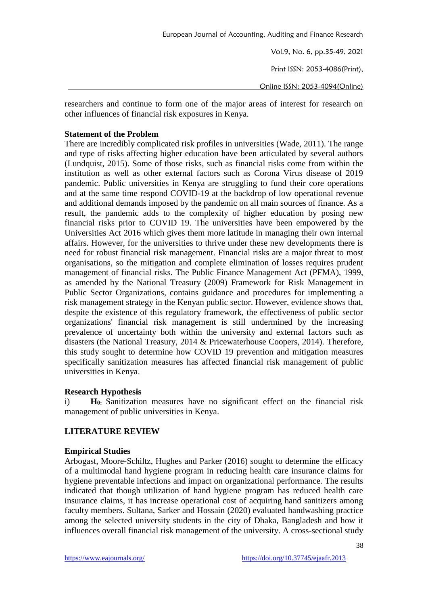Vol.9, No. 6, pp.35-49, 2021 Print ISSN: 2053-4086(Print),

Online ISSN: 2053-4094(Online)

researchers and continue to form one of the major areas of interest for research on other influences of financial risk exposures in Kenya.

## **Statement of the Problem**

There are incredibly complicated risk profiles in universities (Wade, 2011). The range and type of risks affecting higher education have been articulated by several authors (Lundquist, 2015). Some of those risks, such as financial risks come from within the institution as well as other external factors such as Corona Virus disease of 2019 pandemic. Public universities in Kenya are struggling to fund their core operations and at the same time respond COVID-19 at the backdrop of low operational revenue and additional demands imposed by the pandemic on all main sources of finance. As a result, the pandemic adds to the complexity of higher education by posing new financial risks prior to COVID 19. The universities have been empowered by the Universities Act 2016 which gives them more latitude in managing their own internal affairs. However, for the universities to thrive under these new developments there is need for robust financial risk management. Financial risks are a major threat to most organisations, so the mitigation and complete elimination of losses requires prudent management of financial risks. The Public Finance Management Act (PFMA), 1999, as amended by the National Treasury (2009) Framework for Risk Management in Public Sector Organizations, contains guidance and procedures for implementing a risk management strategy in the Kenyan public sector. However, evidence shows that, despite the existence of this regulatory framework, the effectiveness of public sector organizations' financial risk management is still undermined by the increasing prevalence of uncertainty both within the university and external factors such as disasters (the National Treasury, 2014 & Pricewaterhouse Coopers, 2014). Therefore, this study sought to determine how COVID 19 prevention and mitigation measures specifically sanitization measures has affected financial risk management of public universities in Kenya.

### **Research Hypothesis**

i) **H0:** Sanitization measures have no significant effect on the financial risk management of public universities in Kenya.

# **LITERATURE REVIEW**

### **Empirical Studies**

Arbogast, Moore-Schiltz, Hughes and Parker (2016) sought to determine the efficacy of a multimodal hand hygiene program in reducing health care insurance claims for hygiene preventable infections and impact on organizational performance. The results indicated that though utilization of hand hygiene program has reduced health care insurance claims, it has increase operational cost of acquiring hand sanitizers among faculty members. Sultana, Sarker and Hossain (2020) evaluated handwashing practice among the selected university students in the city of Dhaka, Bangladesh and how it influences overall financial risk management of the university. A cross-sectional study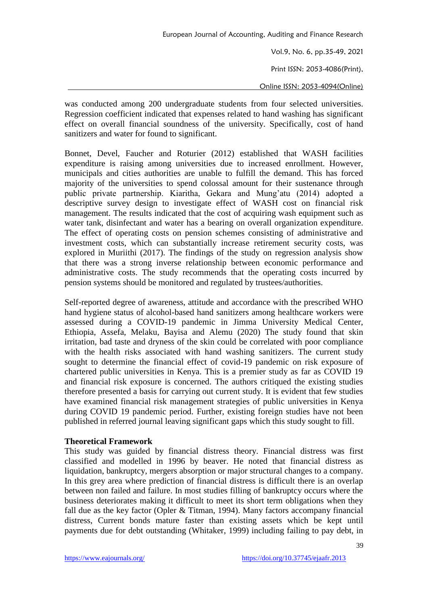Vol.9, No. 6, pp.35-49, 2021 Print ISSN: 2053-4086(Print), Online ISSN: 2053-4094(Online)

was conducted among 200 undergraduate students from four selected universities. Regression coefficient indicated that expenses related to hand washing has significant effect on overall financial soundness of the university. Specifically, cost of hand sanitizers and water for found to significant.

Bonnet, Devel, Faucher and Roturier (2012) established that WASH facilities expenditure is raising among universities due to increased enrollment. However, municipals and cities authorities are unable to fulfill the demand. This has forced majority of the universities to spend colossal amount for their sustenance through public private partnership. Kiaritha, Gekara and Mung'atu (2014) adopted a descriptive survey design to investigate effect of WASH cost on financial risk management. The results indicated that the cost of acquiring wash equipment such as water tank, disinfectant and water has a bearing on overall organization expenditure. The effect of operating costs on pension schemes consisting of administrative and investment costs, which can substantially increase retirement security costs, was explored in Muriithi (2017). The findings of the study on regression analysis show that there was a strong inverse relationship between economic performance and administrative costs. The study recommends that the operating costs incurred by pension systems should be monitored and regulated by trustees/authorities.

Self-reported degree of awareness, attitude and accordance with the prescribed WHO hand hygiene status of alcohol-based hand sanitizers among healthcare workers were assessed during a COVID-19 pandemic in Jimma University Medical Center, Ethiopia, Assefa, Melaku, Bayisa and Alemu (2020) The study found that skin irritation, bad taste and dryness of the skin could be correlated with poor compliance with the health risks associated with hand washing sanitizers. The current study sought to determine the financial effect of covid-19 pandemic on risk exposure of chartered public universities in Kenya. This is a premier study as far as COVID 19 and financial risk exposure is concerned. The authors critiqued the existing studies therefore presented a basis for carrying out current study. It is evident that few studies have examined financial risk management strategies of public universities in Kenya during COVID 19 pandemic period. Further, existing foreign studies have not been published in referred journal leaving significant gaps which this study sought to fill.

### **Theoretical Framework**

This study was guided by financial distress theory. Financial distress was first classified and modelled in 1996 by beaver. He noted that financial distress as liquidation, bankruptcy, mergers absorption or major structural changes to a company. In this grey area where prediction of financial distress is difficult there is an overlap between non failed and failure. In most studies filling of bankruptcy occurs where the business deteriorates making it difficult to meet its short term obligations when they fall due as the key factor (Opler & Titman, 1994). Many factors accompany financial distress, Current bonds mature faster than existing assets which be kept until payments due for debt outstanding (Whitaker, 1999) including failing to pay debt, in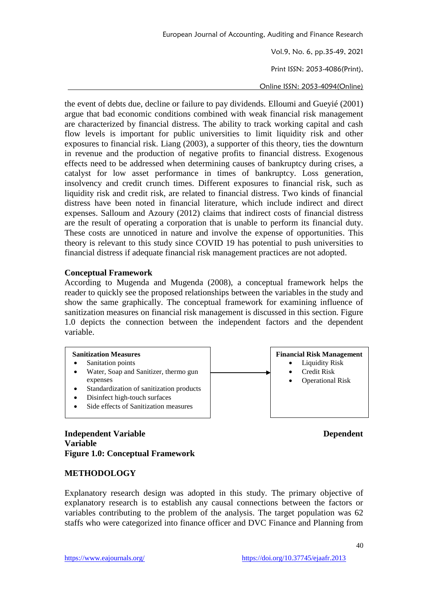Vol.9, No. 6, pp.35-49, 2021 Print ISSN: 2053-4086(Print),

Online ISSN: 2053-4094(Online)

the event of debts due, decline or failure to pay dividends. Elloumi and Gueyié (2001) argue that bad economic conditions combined with weak financial risk management are characterized by financial distress. The ability to track working capital and cash flow levels is important for public universities to limit liquidity risk and other exposures to financial risk. Liang (2003), a supporter of this theory, ties the downturn in revenue and the production of negative profits to financial distress. Exogenous effects need to be addressed when determining causes of bankruptcy during crises, a catalyst for low asset performance in times of bankruptcy. Loss generation, insolvency and credit crunch times. Different exposures to financial risk, such as liquidity risk and credit risk, are related to financial distress. Two kinds of financial distress have been noted in financial literature, which include indirect and direct expenses. Salloum and Azoury (2012) claims that indirect costs of financial distress are the result of operating a corporation that is unable to perform its financial duty. These costs are unnoticed in nature and involve the expense of opportunities. This theory is relevant to this study since COVID 19 has potential to push universities to financial distress if adequate financial risk management practices are not adopted.

### **Conceptual Framework**

According to Mugenda and Mugenda (2008), a conceptual framework helps the reader to quickly see the proposed relationships between the variables in the study and show the same graphically. The conceptual framework for examining influence of sanitization measures on financial risk management is discussed in this section. Figure 1.0 depicts the connection between the independent factors and the dependent variable.



**Independent Variable Dependent Variable Figure 1.0: Conceptual Framework**

### **METHODOLOGY**

Explanatory research design was adopted in this study. The primary objective of explanatory research is to establish any causal connections between the factors or variables contributing to the problem of the analysis. The target population was 62 staffs who were categorized into finance officer and DVC Finance and Planning from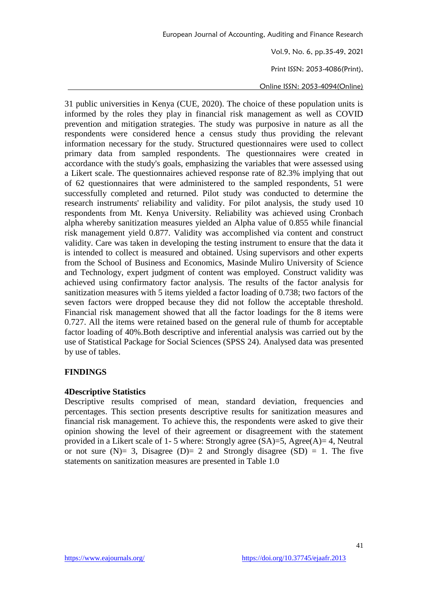Print ISSN: 2053-4086(Print),

Online ISSN: 2053-4094(Online)

31 public universities in Kenya (CUE, 2020). The choice of these population units is informed by the roles they play in financial risk management as well as COVID prevention and mitigation strategies. The study was purposive in nature as all the respondents were considered hence a census study thus providing the relevant information necessary for the study. Structured questionnaires were used to collect primary data from sampled respondents. The questionnaires were created in accordance with the study's goals, emphasizing the variables that were assessed using a Likert scale. The questionnaires achieved response rate of 82.3% implying that out of 62 questionnaires that were administered to the sampled respondents, 51 were successfully completed and returned. Pilot study was conducted to determine the research instruments' reliability and validity. For pilot analysis, the study used 10 respondents from Mt. Kenya University. Reliability was achieved using Cronbach alpha whereby sanitization measures yielded an Alpha value of 0.855 while financial risk management yield 0.877. Validity was accomplished via content and construct validity. Care was taken in developing the testing instrument to ensure that the data it is intended to collect is measured and obtained. Using supervisors and other experts from the School of Business and Economics, Masinde Muliro University of Science and Technology, expert judgment of content was employed. Construct validity was achieved using confirmatory factor analysis. The results of the factor analysis for sanitization measures with 5 items yielded a factor loading of 0.738; two factors of the seven factors were dropped because they did not follow the acceptable threshold. Financial risk management showed that all the factor loadings for the 8 items were 0.727. All the items were retained based on the general rule of thumb for acceptable factor loading of 40%.Both descriptive and inferential analysis was carried out by the use of Statistical Package for Social Sciences (SPSS 24). Analysed data was presented by use of tables.

# **FINDINGS**

### **4Descriptive Statistics**

Descriptive results comprised of mean, standard deviation, frequencies and percentages. This section presents descriptive results for sanitization measures and financial risk management. To achieve this, the respondents were asked to give their opinion showing the level of their agreement or disagreement with the statement provided in a Likert scale of 1-5 where: Strongly agree  $(SA)=5$ , Agree $(A)=4$ , Neutral or not sure (N)= 3, Disagree (D)= 2 and Strongly disagree (SD) = 1. The five statements on sanitization measures are presented in Table 1.0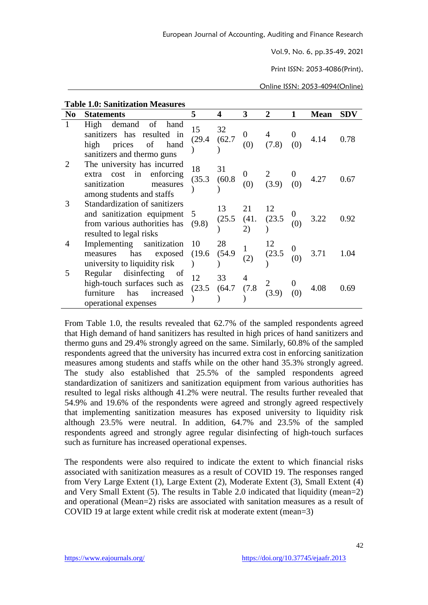Print ISSN: 2053-4086(Print),

Online ISSN: 2053-4094(Online)

### **Table 1.0: Sanitization Measures**

| N <sub>0</sub> | <b>Statements</b>                                                                                                        | 5            | 4            | 3  | $\mathbf{2}$                                                    | <b>Mean</b> | <b>SDV</b> |
|----------------|--------------------------------------------------------------------------------------------------------------------------|--------------|--------------|----|-----------------------------------------------------------------|-------------|------------|
| 1              | of<br>demand<br>High<br>hand<br>sanitizers has resulted in<br>high prices<br>of<br>hand<br>sanitizers and thermo guns    | 15<br>(29.4) | 32<br>(62.7) |    | $\begin{array}{ccc} 0 & 4 & 0 \\ (0) & (7.8) & (0) \end{array}$ | 4.14        | 0.78       |
|                | The university has incurred<br>extra cost in enforcing<br>sanitization<br>measures<br>among students and staffs          | 18<br>(35.3) | 31<br>(60.8) |    | $\begin{array}{ccc} 0 & 2 & 0 \\ (0) & (3.9) & (0) \end{array}$ | 4.27        | 0.67       |
| 3              | Standardization of sanitizers<br>and sanitization equipment 5<br>from various authorities has<br>resulted to legal risks | (9.8)        | 13           | 21 | $(25.5 \t(41. \t(23.5 \t0) \t 3.22$<br>$)$ (0) 3.22             |             | 0.92       |
| 4              | Implementing sanitization<br>measures has exposed<br>university to liquidity risk                                        | 10<br>(19.6) | 28<br>(54.9) |    | $(23.5 \t 0\n(0)$                                               | 3.71        | 1.04       |
|                | Regular<br>disinfecting<br>of<br>high-touch surfaces such as<br>furniture<br>has<br>increased<br>operational expenses    | 12<br>(23.5) | 33           |    | $(64.7 \quad (7.8 \quad 2 \quad 0)$<br>(64.7 (7.8 (3.9) (0)     | 4.08        | 0.69       |

From Table 1.0, the results revealed that 62.7% of the sampled respondents agreed that High demand of hand sanitizers has resulted in high prices of hand sanitizers and thermo guns and 29.4% strongly agreed on the same. Similarly, 60.8% of the sampled respondents agreed that the university has incurred extra cost in enforcing sanitization measures among students and staffs while on the other hand 35.3% strongly agreed. The study also established that 25.5% of the sampled respondents agreed standardization of sanitizers and sanitization equipment from various authorities has resulted to legal risks although 41.2% were neutral. The results further revealed that 54.9% and 19.6% of the respondents were agreed and strongly agreed respectively that implementing sanitization measures has exposed university to liquidity risk although 23.5% were neutral. In addition, 64.7% and 23.5% of the sampled respondents agreed and strongly agree regular disinfecting of high-touch surfaces such as furniture has increased operational expenses.

The respondents were also required to indicate the extent to which financial risks associated with sanitization measures as a result of COVID 19. The responses ranged from Very Large Extent (1), Large Extent (2), Moderate Extent (3), Small Extent (4) and Very Small Extent (5). The results in Table 2.0 indicated that liquidity (mean=2) and operational (Mean=2) risks are associated with sanitation measures as a result of COVID 19 at large extent while credit risk at moderate extent (mean=3)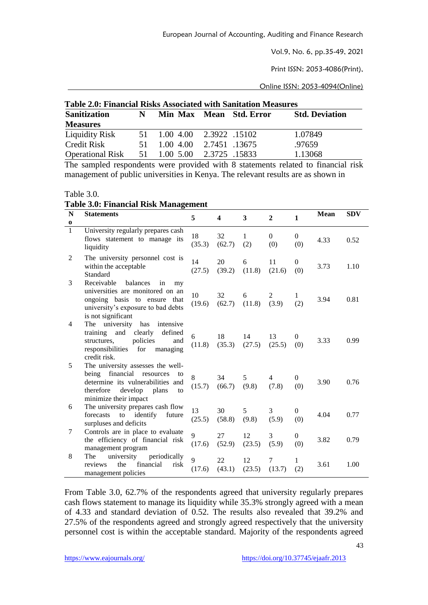Vol.9, No. 6, pp.35-49, 2021

Print ISSN: 2053-4086(Print),

Online ISSN: 2053-4094(Online)

| <b>Table 2.0: Financial Risks Associated with Sanitation Measures</b> |    |                            |              |  |                       |  |  |  |  |
|-----------------------------------------------------------------------|----|----------------------------|--------------|--|-----------------------|--|--|--|--|
| <b>Sanitization</b>                                                   | N  | Min Max Mean Std. Error    |              |  | <b>Std. Deviation</b> |  |  |  |  |
| <b>Measures</b>                                                       |    |                            |              |  |                       |  |  |  |  |
| Liquidity Risk                                                        |    | 51 1.00 4.00 2.3922 .15102 |              |  | 1.07849               |  |  |  |  |
| <b>Credit Risk</b>                                                    | 51 | $1.00\,4.00$               | 2.7451 13675 |  | .97659                |  |  |  |  |
| Operational Risk 51 1.00 5.00 2.3725 .15833                           |    |                            |              |  | 1.13068               |  |  |  |  |
|                                                                       |    |                            |              |  |                       |  |  |  |  |

The sampled respondents were provided with 8 statements related to financial risk management of public universities in Kenya. The relevant results are as shown in

Table 3.0.

**Table 3.0: Financial Risk Management**

| N            | <b>Statements</b>                                                                                                                                                            | 5            | $\overline{\mathbf{4}}$ | 3                   | $\overline{2}$  | $\mathbf{1}$          | <b>Mean</b> | <b>SDV</b> |
|--------------|------------------------------------------------------------------------------------------------------------------------------------------------------------------------------|--------------|-------------------------|---------------------|-----------------|-----------------------|-------------|------------|
| $\bf o$      |                                                                                                                                                                              |              |                         |                     |                 |                       |             |            |
| $\mathbf{1}$ | University regularly prepares cash<br>flows statement to manage its<br>liquidity                                                                                             | 18<br>(35.3) | 32<br>(62.7)            | $\mathbf{1}$<br>(2) | $\Omega$<br>(0) | $\overline{0}$<br>(0) | 4.33        | 0.52       |
| 2            | The university personnel cost is<br>within the acceptable<br>Standard                                                                                                        | 14<br>(27.5) | 20<br>(39.2)            | 6<br>(11.8)         | 11<br>(21.6)    | $\mathbf{0}$<br>(0)   | 3.73        | 1.10       |
| 3            | Receivable<br>balances<br>in<br>my<br>universities are monitored on an<br>ongoing basis to ensure<br>that<br>university's exposure to bad debts<br>is not significant        | 10<br>(19.6) | 32<br>(62.7)            | 6<br>(11.8)         | 2<br>(3.9)      | 1<br>(2)              | 3.94        | 0.81       |
| 4            | The university<br>has<br>intensive<br>clearly<br>training<br>and<br>defined<br>policies<br>structures,<br>and<br>responsibilities<br>for<br>managing<br>credit risk.         | 6<br>(11.8)  | 18<br>(35.3)            | 14<br>(27.5)        | 13<br>(25.5)    | 0<br>(0)              | 3.33        | 0.99       |
| 5            | The university assesses the well-<br>being<br>financial<br>resources<br>to<br>determine its vulnerabilities and<br>therefore<br>develop plans<br>to<br>minimize their impact | 8<br>(15.7)  | 34<br>(66.7)            | 5<br>(9.8)          | 4<br>(7.8)      | 0<br>(0)              | 3.90        | 0.76       |
| 6            | The university prepares cash flow<br>forecasts<br>to<br>identify<br>future<br>surpluses and deficits                                                                         | 13<br>(25.5) | 30<br>(58.8)            | 5<br>(9.8)          | 3<br>(5.9)      | $\mathbf{0}$<br>(0)   | 4.04        | 0.77       |
| 7            | Controls are in place to evaluate<br>the efficiency of financial risk<br>management program                                                                                  | 9<br>(17.6)  | 27<br>(52.9)            | 12<br>(23.5)        | 3<br>(5.9)      | $\overline{0}$<br>(0) | 3.82        | 0.79       |
| 8            | university<br>periodically<br>The<br>financial<br>the<br>reviews<br>risk<br>management policies                                                                              | 9<br>(17.6)  | 22<br>(43.1)            | 12<br>(23.5)        | 7<br>(13.7)     | 1<br>(2)              | 3.61        | 1.00       |

From Table 3.0, 62.7% of the respondents agreed that university regularly prepares cash flows statement to manage its liquidity while 35.3% strongly agreed with a mean of 4.33 and standard deviation of 0.52. The results also revealed that 39.2% and 27.5% of the respondents agreed and strongly agreed respectively that the university personnel cost is within the acceptable standard. Majority of the respondents agreed

43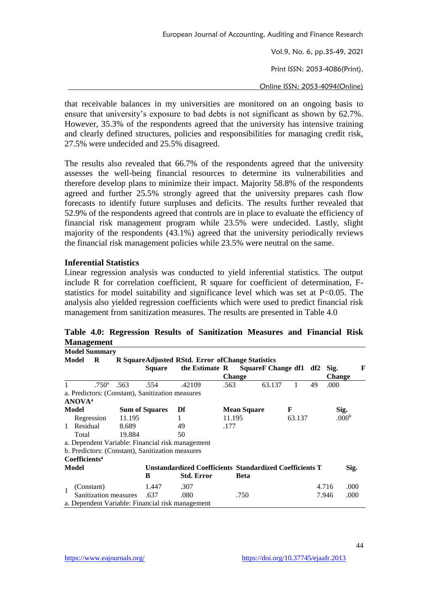Vol.9, No. 6, pp.35-49, 2021 Print ISSN: 2053-4086(Print),

Online ISSN: 2053-4094(Online)

that receivable balances in my universities are monitored on an ongoing basis to ensure that university's exposure to bad debts is not significant as shown by 62.7%. However, 35.3% of the respondents agreed that the university has intensive training and clearly defined structures, policies and responsibilities for managing credit risk, 27.5% were undecided and 25.5% disagreed.

The results also revealed that 66.7% of the respondents agreed that the university assesses the well-being financial resources to determine its vulnerabilities and therefore develop plans to minimize their impact. Majority 58.8% of the respondents agreed and further 25.5% strongly agreed that the university prepares cash flow forecasts to identify future surpluses and deficits. The results further revealed that 52.9% of the respondents agreed that controls are in place to evaluate the efficiency of financial risk management program while 23.5% were undecided. Lastly, slight majority of the respondents (43.1%) agreed that the university periodically reviews the financial risk management policies while 23.5% were neutral on the same.

### **Inferential Statistics**

Linear regression analysis was conducted to yield inferential statistics. The output include R for correlation coefficient, R square for coefficient of determination, Fstatistics for model suitability and significance level which was set at P<0.05. The analysis also yielded regression coefficients which were used to predict financial risk management from sanitization measures. The results are presented in Table 4.0

|              | ີ<br><b>Model Summary</b>                        |        |                                                         |                                                   |               |                        |        |               |                   |   |
|--------------|--------------------------------------------------|--------|---------------------------------------------------------|---------------------------------------------------|---------------|------------------------|--------|---------------|-------------------|---|
|              | Model<br>R                                       |        |                                                         | R SquareAdjusted RStd. Error of Change Statistics |               |                        |        |               |                   |   |
|              |                                                  |        | <b>Square</b>                                           | the Estimate R                                    |               | SquareF Change df1 df2 |        |               | Sig.              | F |
|              |                                                  |        |                                                         |                                                   | <b>Change</b> |                        |        | <b>Change</b> |                   |   |
|              | .750 <sup>a</sup>                                | .563   | .554                                                    | .42109                                            | .563          | 63.137                 | 1      | 49            | .000              |   |
|              | a. Predictors: (Constant), Sanitization measures |        |                                                         |                                                   |               |                        |        |               |                   |   |
|              | <b>ANOVA</b> <sup>a</sup>                        |        |                                                         |                                                   |               |                        |        |               |                   |   |
| Model        |                                                  |        | <b>Sum of Squares</b>                                   | Df                                                |               | <b>Mean Square</b>     | F      |               | Sig.              |   |
|              | Regression                                       | 11.195 |                                                         |                                                   | 11.195        |                        | 63.137 |               | .000 <sup>b</sup> |   |
| $\mathbf{1}$ | Residual                                         | 8.689  |                                                         | 49                                                | .177          |                        |        |               |                   |   |
|              | Total                                            | 19.884 |                                                         | 50                                                |               |                        |        |               |                   |   |
|              | a. Dependent Variable: Financial risk management |        |                                                         |                                                   |               |                        |        |               |                   |   |
|              | b. Predictors: (Constant), Sanitization measures |        |                                                         |                                                   |               |                        |        |               |                   |   |
|              | <b>Coefficients<sup>a</sup></b>                  |        |                                                         |                                                   |               |                        |        |               |                   |   |
| Model        |                                                  |        | Unstandardized Coefficients Standardized Coefficients T |                                                   |               |                        |        | Sig.          |                   |   |
|              |                                                  |        | B                                                       | <b>Std. Error</b>                                 |               | Beta                   |        |               |                   |   |
|              | (Constant)                                       |        | 1.447                                                   | .307                                              |               |                        |        | 4.716         | .000              |   |
|              | Sanitization measures                            |        | .637                                                    | .080                                              |               | .750                   |        | 7.946         | .000              |   |
|              | a. Dependent Variable: Financial risk management |        |                                                         |                                                   |               |                        |        |               |                   |   |

**Table 4.0: Regression Results of Sanitization Measures and Financial Risk Management**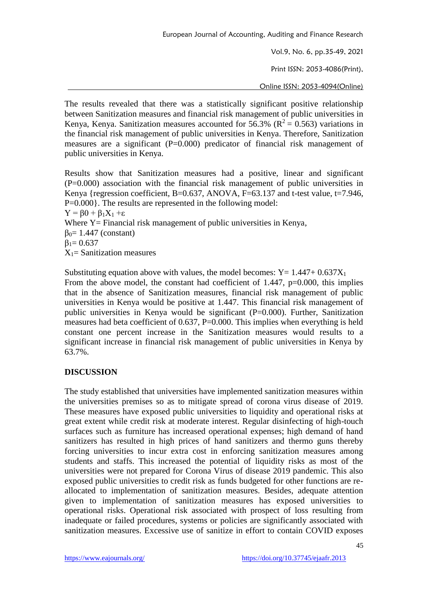Vol.9, No. 6, pp.35-49, 2021

Print ISSN: 2053-4086(Print),

Online ISSN: 2053-4094(Online)

The results revealed that there was a statistically significant positive relationship between Sanitization measures and financial risk management of public universities in Kenya, Kenya. Sanitization measures accounted for 56.3% ( $\mathbb{R}^2 = 0.563$ ) variations in the financial risk management of public universities in Kenya. Therefore, Sanitization measures are a significant (P=0.000) predicator of financial risk management of public universities in Kenya.

Results show that Sanitization measures had a positive, linear and significant (P=0.000) association with the financial risk management of public universities in Kenya {regression coefficient, B=0.637, ANOVA, F=63.137 and t-test value, t=7.946, P=0.000}. The results are represented in the following model:  $Y = \beta 0 + \beta_1 X_1 + \varepsilon$ 

Where Y = Financial risk management of public universities in Kenya,  $β<sub>0</sub>= 1.447$  (constant)

 $β<sub>1</sub> = 0.637$ 

 $X_1$ = Sanitization measures

Substituting equation above with values, the model becomes:  $Y = 1.447 + 0.637X_1$ From the above model, the constant had coefficient of 1.447, p=0.000, this implies that in the absence of Sanitization measures, financial risk management of public universities in Kenya would be positive at 1.447. This financial risk management of public universities in Kenya would be significant (P=0.000). Further, Sanitization measures had beta coefficient of 0.637, P=0.000. This implies when everything is held constant one percent increase in the Sanitization measures would results to a significant increase in financial risk management of public universities in Kenya by 63.7%.

# **DISCUSSION**

The study established that universities have implemented sanitization measures within the universities premises so as to mitigate spread of corona virus disease of 2019. These measures have exposed public universities to liquidity and operational risks at great extent while credit risk at moderate interest. Regular disinfecting of high-touch surfaces such as furniture has increased operational expenses; high demand of hand sanitizers has resulted in high prices of hand sanitizers and thermo guns thereby forcing universities to incur extra cost in enforcing sanitization measures among students and staffs. This increased the potential of liquidity risks as most of the universities were not prepared for Corona Virus of disease 2019 pandemic. This also exposed public universities to credit risk as funds budgeted for other functions are reallocated to implementation of sanitization measures. Besides, adequate attention given to implementation of sanitization measures has exposed universities to operational risks. Operational risk associated with prospect of loss resulting from inadequate or failed procedures, systems or policies are significantly associated with sanitization measures. Excessive use of sanitize in effort to contain COVID exposes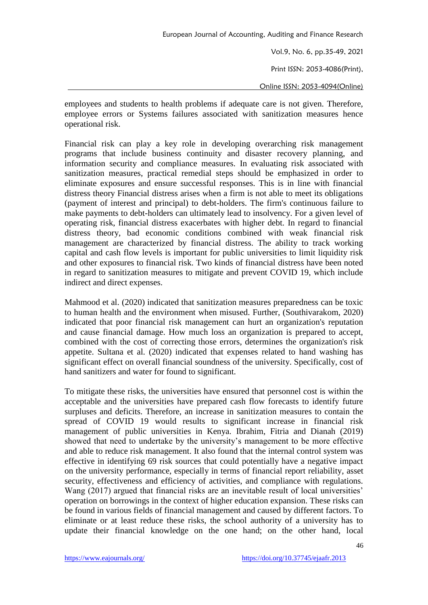Vol.9, No. 6, pp.35-49, 2021 Print ISSN: 2053-4086(Print), Online ISSN: 2053-4094(Online)

employees and students to health problems if adequate care is not given. Therefore, employee errors or Systems failures associated with sanitization measures hence operational risk.

Financial risk can play a key role in developing overarching risk management programs that include business continuity and disaster recovery planning, and information security and compliance measures. In evaluating risk associated with sanitization measures, practical remedial steps should be emphasized in order to eliminate exposures and ensure successful responses. This is in line with financial distress theory Financial distress arises when a firm is not able to meet its obligations (payment of interest and principal) to debt-holders. The firm's continuous failure to make payments to debt-holders can ultimately lead to insolvency. For a given level of operating risk, financial distress exacerbates with higher debt. In regard to financial distress theory, bad economic conditions combined with weak financial risk management are characterized by financial distress. The ability to track working capital and cash flow levels is important for public universities to limit liquidity risk and other exposures to financial risk. Two kinds of financial distress have been noted in regard to sanitization measures to mitigate and prevent COVID 19, which include indirect and direct expenses.

Mahmood et al. (2020) indicated that sanitization measures preparedness can be toxic to human health and the environment when misused. Further, (Southivarakom, 2020) indicated that poor financial risk management can hurt an organization's reputation and cause financial damage. How much loss an organization is prepared to accept, combined with the cost of correcting those errors, determines the organization's risk appetite. Sultana et al. (2020) indicated that expenses related to hand washing has significant effect on overall financial soundness of the university. Specifically, cost of hand sanitizers and water for found to significant.

To mitigate these risks, the universities have ensured that personnel cost is within the acceptable and the universities have prepared cash flow forecasts to identify future surpluses and deficits. Therefore, an increase in sanitization measures to contain the spread of COVID 19 would results to significant increase in financial risk management of public universities in Kenya. Ibrahim, Fitria and Dianah (2019) showed that need to undertake by the university's management to be more effective and able to reduce risk management. It also found that the internal control system was effective in identifying 69 risk sources that could potentially have a negative impact on the university performance, especially in terms of financial report reliability, asset security, effectiveness and efficiency of activities, and compliance with regulations. Wang (2017) argued that financial risks are an inevitable result of local universities' operation on borrowings in the context of higher education expansion. These risks can be found in various fields of financial management and caused by different factors. To eliminate or at least reduce these risks, the school authority of a university has to update their financial knowledge on the one hand; on the other hand, local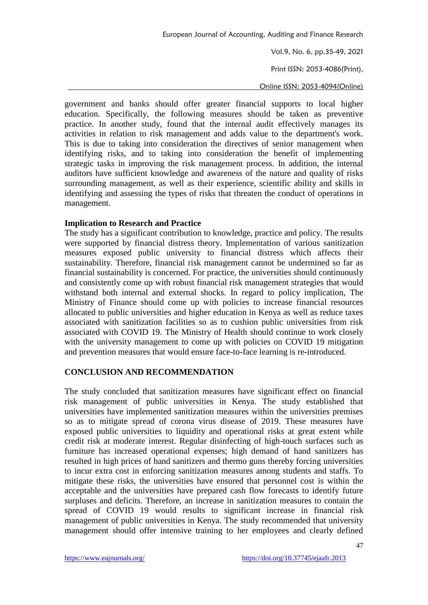Print ISSN: 2053-4086(Print),

Online ISSN: 2053-4094(Online)

government and banks should offer greater financial supports to local higher education. Specifically, the following measures should be taken as preventive practice. In another study, found that the internal audit effectively manages its activities in relation to risk management and adds value to the department's work. This is due to taking into consideration the directives of senior management when identifying risks, and to taking into consideration the benefit of implementing strategic tasks in improving the risk management process. In addition, the internal auditors have sufficient knowledge and awareness of the nature and quality of risks surrounding management, as well as their experience, scientific ability and skills in identifying and assessing the types of risks that threaten the conduct of operations in management.

### **Implication to Research and Practice**

The study has a significant contribution to knowledge, practice and policy. The results were supported by financial distress theory. Implementation of various sanitization measures exposed public university to financial distress which affects their sustainability. Therefore, financial risk management cannot be undermined so far as financial sustainability is concerned. For practice, the universities should continuously and consistently come up with robust financial risk management strategies that would withstand both internal and external shocks. In regard to policy implication, The Ministry of Finance should come up with policies to increase financial resources allocated to public universities and higher education in Kenya as well as reduce taxes associated with sanitization facilities so as to cushion public universities from risk associated with COVID 19. The Ministry of Health should continue to work closely with the university management to come up with policies on COVID 19 mitigation and prevention measures that would ensure face-to-face learning is re-introduced.

### **CONCLUSION AND RECOMMENDATION**

The study concluded that sanitization measures have significant effect on financial risk management of public universities in Kenya. The study established that universities have implemented sanitization measures within the universities premises so as to mitigate spread of corona virus disease of 2019. These measures have exposed public universities to liquidity and operational risks at great extent while credit risk at moderate interest. Regular disinfecting of high-touch surfaces such as furniture has increased operational expenses; high demand of hand sanitizers has resulted in high prices of hand sanitizers and thermo guns thereby forcing universities to incur extra cost in enforcing sanitization measures among students and staffs. To mitigate these risks, the universities have ensured that personnel cost is within the acceptable and the universities have prepared cash flow forecasts to identify future surpluses and deficits. Therefore, an increase in sanitization measures to contain the spread of COVID 19 would results to significant increase in financial risk management of public universities in Kenya. The study recommended that university management should offer intensive training to her employees and clearly defined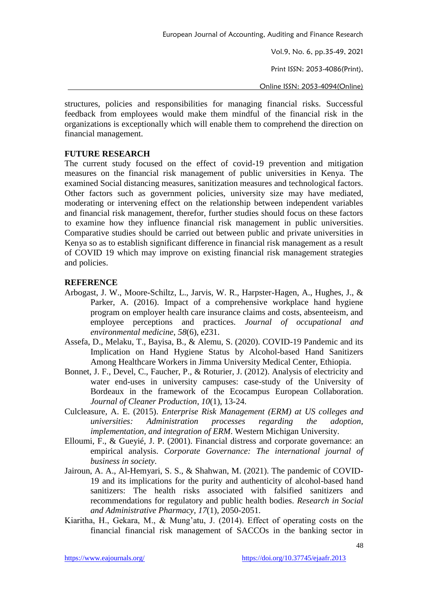Vol.9, No. 6, pp.35-49, 2021 Print ISSN: 2053-4086(Print),

Online ISSN: 2053-4094(Online)

structures, policies and responsibilities for managing financial risks. Successful feedback from employees would make them mindful of the financial risk in the organizations is exceptionally which will enable them to comprehend the direction on financial management.

### **FUTURE RESEARCH**

The current study focused on the effect of covid-19 prevention and mitigation measures on the financial risk management of public universities in Kenya. The examined Social distancing measures, sanitization measures and technological factors. Other factors such as government policies, university size may have mediated, moderating or intervening effect on the relationship between independent variables and financial risk management, therefor, further studies should focus on these factors to examine how they influence financial risk management in public universities. Comparative studies should be carried out between public and private universities in Kenya so as to establish significant difference in financial risk management as a result of COVID 19 which may improve on existing financial risk management strategies and policies.

## **REFERENCE**

- Arbogast, J. W., Moore-Schiltz, L., Jarvis, W. R., Harpster-Hagen, A., Hughes, J., & Parker, A. (2016). Impact of a comprehensive workplace hand hygiene program on employer health care insurance claims and costs, absenteeism, and employee perceptions and practices. *Journal of occupational and environmental medicine*, *58*(6), e231.
- Assefa, D., Melaku, T., Bayisa, B., & Alemu, S. (2020). COVID-19 Pandemic and its Implication on Hand Hygiene Status by Alcohol-based Hand Sanitizers Among Healthcare Workers in Jimma University Medical Center, Ethiopia.
- Bonnet, J. F., Devel, C., Faucher, P., & Roturier, J. (2012). Analysis of electricity and water end-uses in university campuses: case-study of the University of Bordeaux in the framework of the Ecocampus European Collaboration. *Journal of Cleaner Production*, *10*(1), 13-24.
- Culcleasure, A. E. (2015). *Enterprise Risk Management (ERM) at US colleges and universities: Administration processes regarding the adoption, implementation, and integration of ERM*. Western Michigan University.
- Elloumi, F., & Gueyié, J. P. (2001). Financial distress and corporate governance: an empirical analysis. *Corporate Governance: The international journal of business in society*.
- Jairoun, A. A., Al-Hemyari, S. S., & Shahwan, M. (2021). The pandemic of COVID-19 and its implications for the purity and authenticity of alcohol-based hand sanitizers: The health risks associated with falsified sanitizers and recommendations for regulatory and public health bodies. *Research in Social and Administrative Pharmacy*, *17*(1), 2050-2051.
- Kiaritha, H., Gekara, M., & Mung'atu, J. (2014). Effect of operating costs on the financial financial risk management of SACCOs in the banking sector in